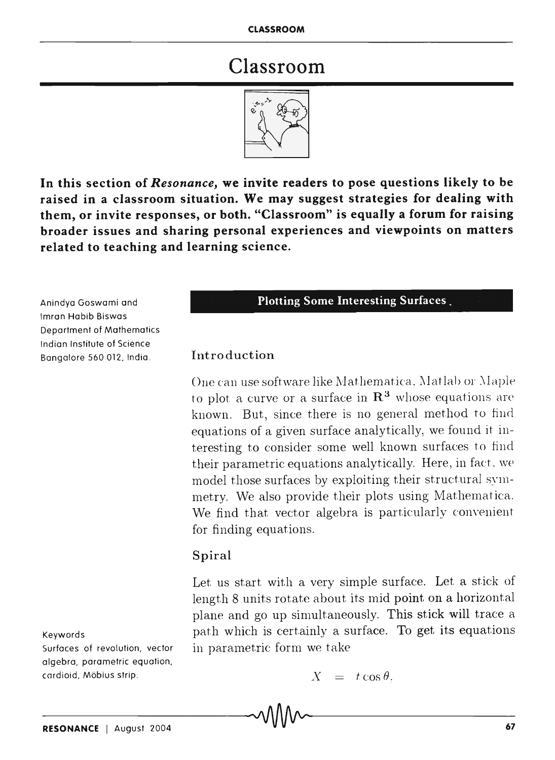# Classroom



In this section of *Resonance,* we invite readers to pose questions likely to be raised in a classroom situation. We may suggest strategies for dealing with them, or invite responses, or both. "Classroom" is equally a forum for raising broader issues and sharing personal experiences and viewpoints on matters related to teaching and learning science.

Anindya Gaswami and Imran Habib Biswas Department of Mathematics Indian Institute of Science Bangalore 560 012, India.

Keywords

Surfaces of revolution, vector algebra, parametric equation, cardioid, Mobius strip.

#### Plotting Some Interesting Surfaces.

#### Introduction

One can use software like Mathematica, Matlab or Maple to plot a curve or a surface in  $\mathbb{R}^3$  whose equations are known. But, since there is no general method to find equations of a given surface analytically, we found it interesting to consider some well known surfaces to find their parametric equations analytically. Here, in fact, we model those surfaces by exploiting their structural symmetry. We also provide their plots using Mathematica. We find that vector algebra is particularly convenient for finding equations.

#### Spiral

Let us start with a very simple surface. Let a stick of length 8 units rotate about its mid point on a horizontal plane and go up simultaneously. This stick will trace a path which is certainly a surface. To get its equations in parametric form we take

$$
X = t \cos \theta,
$$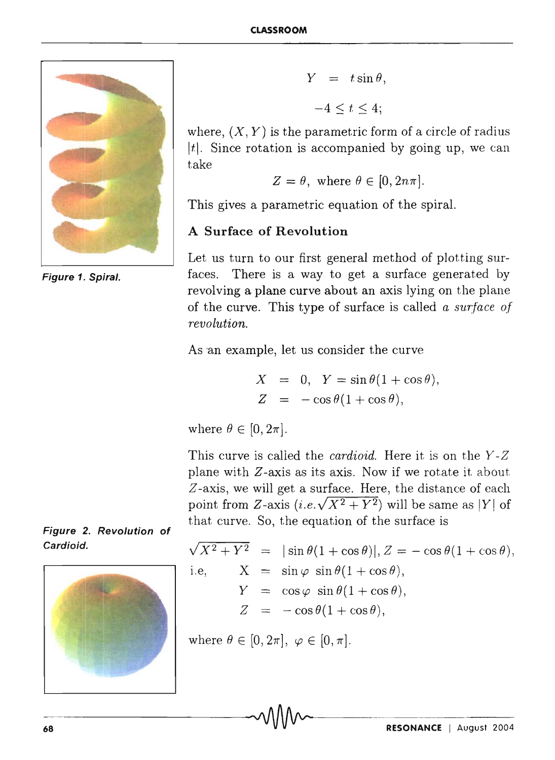

**Figure 1. Spiral.** 

$$
Y = t \sin \theta,
$$
  

$$
-4 \le t \le 4;
$$

where,  $(X, Y)$  is the parametric form of a circle of radius | $t$ |. Since rotation is accompanied by going up, we can take

$$
Z = \theta, \text{ where } \theta \in [0, 2n\pi].
$$

This gives a parametric equation of the spiral.

#### **A Surface of Revolution**

Let us turn to our first general method of plotting surfaces. There is a way to get a surface generated by revolving a plane curve about an axis lying on the plane of the curve. This type of surface is called *a surface of revolution.* 

As 'an example, let us consider the curve

 $X = 0$ ,  $Y = \sin \theta (1 + \cos \theta)$ ,  $Z = -\cos\theta(1+\cos\theta),$ 

where  $\theta \in [0, 2\pi]$ .

This curve is called the *cardioid.* Here it is on the *Y-Z*  plane with *Z-axis* as its axis. Now if we rotate it about *Z* -axis, we will get a surface. Here, the distance of each point from Z-axis  $(i.e.\sqrt{X^2+Y^2})$  will be same as |Y| of that curve. So, the equation of the surface is

$$
\sqrt{X^2 + Y^2} = |\sin \theta (1 + \cos \theta)|, Z = -\cos \theta (1 + \cos \theta),
$$
  
i.e, 
$$
X = \sin \varphi \sin \theta (1 + \cos \theta),
$$

$$
Y = \cos \varphi \sin \theta (1 + \cos \theta),
$$

$$
Z = -\cos \theta (1 + \cos \theta),
$$

where  $\theta \in [0,2\pi], \varphi \in [0,\pi].$ 



**Figure 2. Revolution of**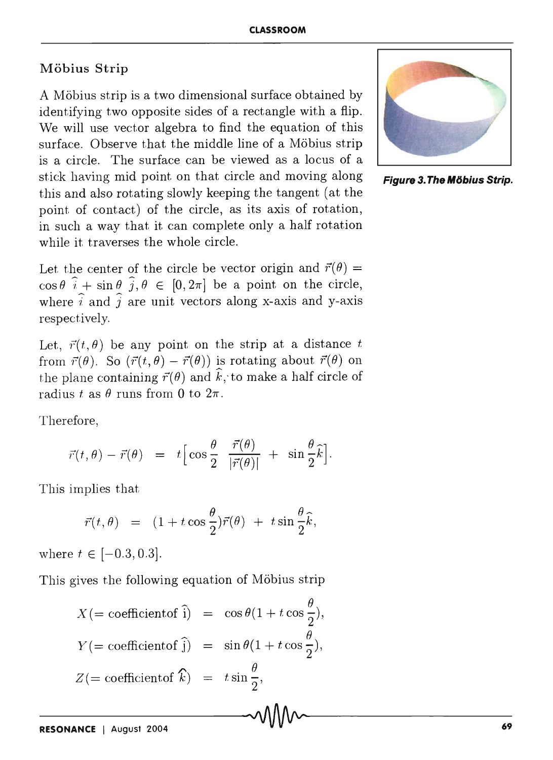## Möbius Strip

A Mobius strip is a two dimensional surface obtained by identifying two opposite sides of a rectangle with a flip. We will use vector algebra to find the equation of this surface. Observe that the middle line of a Möbius strip is a circle. The surface can be viewed as a locus of a stick having mid point on that circle and moving along **Figure 3. The Möbius Strip.** this and also rotating slowly keeping the tangent (at the point of contact) of the circle, as its axis of rotation, in such a way that it can complete only a half rotation while it traverses the whole circle.

Let the center of the circle be vector origin and  $\vec{r}(\theta)$  =  $\cos \theta \, \hat{i} + \sin \theta \, \hat{j}, \theta \in [0, 2\pi]$  be a point on the circle, where  $\hat{i}$  and  $\hat{j}$  are unit vectors along x-axis and v-axis respectively.

Let,  $\vec{r}(t, \theta)$  be any point on the strip at a distance *t* from  $\vec{r}(\theta)$ . So  $(\vec{r}(t, \theta) - \vec{r}(\theta))$  is rotating about  $\vec{r}(\theta)$  on the plane containing  $\vec{r}(\theta)$  and  $\hat{k}$ , to make a half circle of radius *t* as  $\theta$  runs from 0 to  $2\pi$ .

Therefore,

$$
\vec{r}(t,\theta) - \vec{r}(\theta) = t \Big[ \cos \frac{\theta}{2} \frac{\vec{r}(\theta)}{|\vec{r}(\theta)|} + \sin \frac{\theta}{2} \hat{k} \Big].
$$

This implies that

$$
\vec{r}(t,\theta) \;\; = \;\; (1+t\cos\frac{\theta}{2})\vec{r}(\theta) \; + \; t\sin\frac{\theta}{2}\hat{k},
$$

where  $t \in [-0.3, 0.3]$ .

This gives the following equation of Möbius strip

$$
X(= \text{coefficient of } \hat{i}) = \cos \theta (1 + t \cos \frac{\theta}{2}),
$$
  
\n
$$
Y(= \text{coefficient of } \hat{j}) = \sin \theta (1 + t \cos \frac{\theta}{2}),
$$
  
\n
$$
Z(= \text{coefficient of } \hat{k}) = t \sin \frac{\theta}{2},
$$

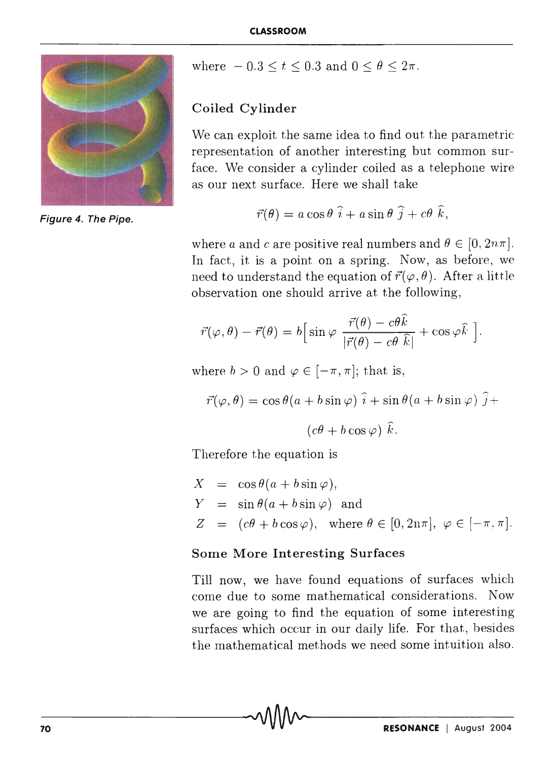

Figure 4. The Pipe.

where  $-0.3 \le t \le 0.3$  and  $0 \le \theta \le 2\pi$ .

### Coiled Cylinder

We can exploit the same idea to find out the parametric representation of another interesting but common surface. We consider a cylinder coiled as a telephone wire as our next surface. Here we shall take

$$
\vec{r}(\theta) = a \cos \theta \, \hat{i} + a \sin \theta \, \hat{j} + c \theta \, \hat{k},
$$

where *a* and *c* are positive real numbers and  $\theta \in [0, 2n\pi]$ . In fact, it is a point on a spring. Now, as before, we need to understand the equation of  $\vec{r}(\varphi, \theta)$ . After a little observation one should arrive at the following,

$$
\vec{r}(\varphi,\theta) - \vec{r}(\theta) = b \Big[ \sin \varphi \; \frac{\vec{r}(\theta) - c\theta \hat{k}}{|\vec{r}(\theta) - c\theta \; \hat{k}|} + \cos \varphi \hat{k} \; \Big].
$$

where  $b > 0$  and  $\varphi \in [-\pi, \pi]$ ; that is,

$$
\vec{r}(\varphi,\theta) = \cos\theta(a+b\sin\varphi)\,\,\hat{i} + \sin\theta(a+b\sin\varphi)\,\,\hat{j} +
$$

$$
(c\theta + b\cos\varphi)\,\,\hat{k}.
$$

Therefore the equation is

$$
X = \cos \theta (a + b \sin \varphi),
$$
  
\n
$$
Y = \sin \theta (a + b \sin \varphi) \text{ and}
$$
  
\n
$$
Z = (c\theta + b \cos \varphi), \text{ where } \theta \in [0, 2n\pi], \varphi \in [-\pi, \pi].
$$

#### Some More Interesting Surfaces

Till now, we have found equations of surfaces which come due to some mathematical considerations. Now we are going to find the equation of some interesting surfaces which occur in our daily life. For that, besides the mathematical methods we need some intuition also.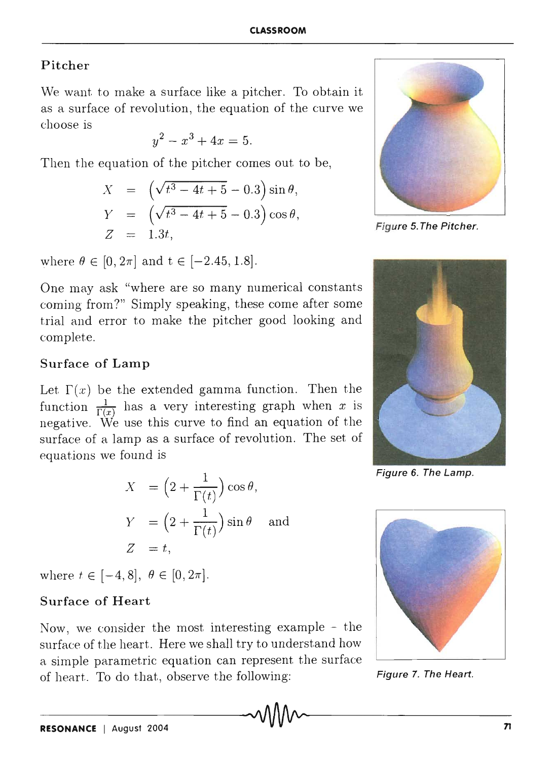### Pitcher

We want to make a surface like a pitcher. To obtain it as a surface of revolution, the equation of the curve we choose is

$$
y^2 - x^3 + 4x = 5.
$$

Then the equation of the pitcher comes out to be,

$$
X = (\sqrt{t^3 - 4t + 5} - 0.3) \sin \theta,
$$
  
\n
$$
Y = (\sqrt{t^3 - 4t + 5} - 0.3) \cos \theta,
$$
  
\n
$$
Z = 1.3t,
$$

where  $\theta \in [0, 2\pi]$  and  $t \in [-2.45, 1.8]$ .

One may ask "where are so many numerical constants coming from 7" Simply speaking, these come after some trial and error to make the pitcher good looking and complete.

### Surface of Lamp

Let  $\Gamma(x)$  be the extended gamma function. Then the function  $\frac{1}{\Gamma(x)}$  has a very interesting graph when x is negative. We use this curve to find an equation of the surface of a lamp as a surface of revolution. The set of equations we found is

$$
X = \left(2 + \frac{1}{\Gamma(t)}\right)\cos\theta,
$$
  
\n
$$
Y = \left(2 + \frac{1}{\Gamma(t)}\right)\sin\theta \text{ and }
$$
  
\n
$$
Z = t,
$$

where  $t \in [-4, 8], \theta \in [0, 2\pi].$ 

## Surface of Heart

Now, we consider the most interesting example - the surface of the heart. Here we shall try to understand how a simple parametric equation can represent the surface of heart. To do that, observe the following: Figure 7. The Heart.



Figure 5. The Pitcher.



Figure 6. The Lamp.

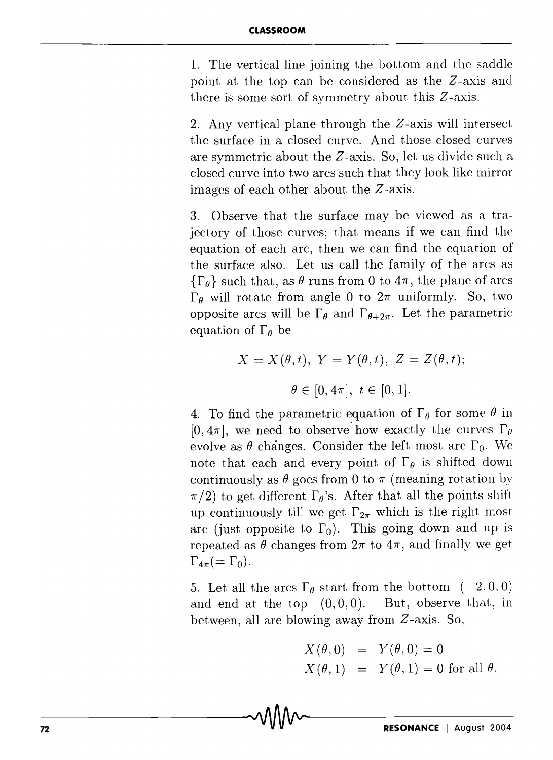1. The vertical line joining the bottom and the saddle point at the top can be considered as the Z-axis and there is some sort of symmetry about this Z-axis.

2. Any vertical plane through the Z-axis will intersect the surface in a closed curve. And those closed curves are symmetric about the Z-axis. So, let us divide such a closed curve into two arcs such that they look like mirror images of each other about the Z-axis.

3. Observe that the surface may be viewed as a trajectory of those curves; that means if we can find the equation of each arc, then we can find the equation of the surface also. Let us call the family of the arcs as  $\{\Gamma_{\theta}\}\$  such that, as  $\theta$  runs from 0 to  $4\pi$ , the plane of arcs  $\Gamma_{\theta}$  will rotate from angle 0 to  $2\pi$  uniformly. So, two opposite arcs will be  $\Gamma_{\theta}$  and  $\Gamma_{\theta+2\pi}$ . Let the parametric equation of  $\Gamma_{\theta}$  be

$$
X = X(\theta, t), Y = Y(\theta, t), Z = Z(\theta, t);
$$

$$
\theta \in [0, 4\pi], t \in [0, 1].
$$

4. To find the parametric equation of  $\Gamma_{\theta}$  for some  $\theta$  in  $[0,4\pi]$ , we need to observe how exactly the curves  $\Gamma_{\theta}$ evolve as  $\theta$  changes. Consider the left most arc  $\Gamma_0$ . We note that each and every point of  $\Gamma_{\theta}$  is shifted down continuously as  $\theta$  goes from 0 to  $\pi$  (meaning rotation by  $\pi/2$ ) to get different  $\Gamma_{\theta}$ 's. After that all the points shift up continuously till we get  $\Gamma_{2\pi}$  which is the right most arc (just opposite to  $\Gamma_0$ ). This going down and up is repeated as  $\theta$  changes from  $2\pi$  to  $4\pi$ , and finally we get  $\Gamma_{4\pi} (= \Gamma_0).$ 

5. Let all the arcs  $\Gamma_{\theta}$  start from the bottom  $(-2,0,0)$ and end at the top  $(0,0,0)$ . But, observe that, in between, all are blowing away from Z-axis. So,

$$
X(\theta,0) = Y(\theta,0) = 0
$$
  
 
$$
X(\theta,1) = Y(\theta,1) = 0 \text{ for all } \theta.
$$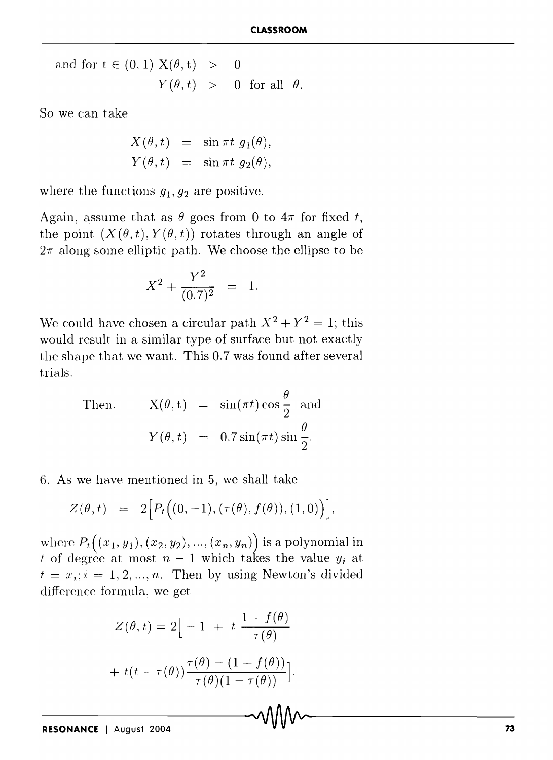and for  $t \in (0,1)$   $X(\theta, t) > 0$  $Y(\theta, t) > 0$  for all  $\theta$ .

So we can take

$$
X(\theta, t) = \sin \pi t \ g_1(\theta),
$$
  
\n
$$
Y(\theta, t) = \sin \pi t \ g_2(\theta),
$$

where the functions  $g_1, g_2$  are positive.

Again, assume that as  $\theta$  goes from 0 to  $4\pi$  for fixed *t*, the point  $(X(\theta, t), Y(\theta, t))$  rotates through an angle of  $2\pi$  along some elliptic path. We choose the ellipse to be

$$
X^2 + \frac{Y^2}{(0.7)^2} = 1.
$$

We could have chosen a circular path  $X^2 + Y^2 = 1$ ; this would result in a similar type of surface but not exactly the shape that we want. This 0.7 was found after several trials.

Then, 
$$
X(\theta, t) = \sin(\pi t) \cos \frac{\theta}{2}
$$
 and  
 $Y(\theta, t) = 0.7 \sin(\pi t) \sin \frac{\theta}{2}$ .

6. As we have mentioned in 5, we shall take

$$
Z(\theta, t) = 2[P_t((0, -1), (\tau(\theta), f(\theta)), (1, 0))],
$$

where  $P_t((x_1, y_1), (x_2, y_2), ..., (x_n, y_n))$  is a polynomial in *t* of degree at most  $n-1$  which takes the value  $y_i$  at  $t = x_i$ :  $i = 1, 2, ..., n$ . Then by using Newton's divided difference fonnula, we get

$$
Z(\theta, t) = 2\Big[ -1 + t \frac{1 + f(\theta)}{\tau(\theta)}
$$

$$
+ t(t - \tau(\theta)) \frac{\tau(\theta) - (1 + f(\theta))}{\tau(\theta)(1 - \tau(\theta))}\Big].
$$